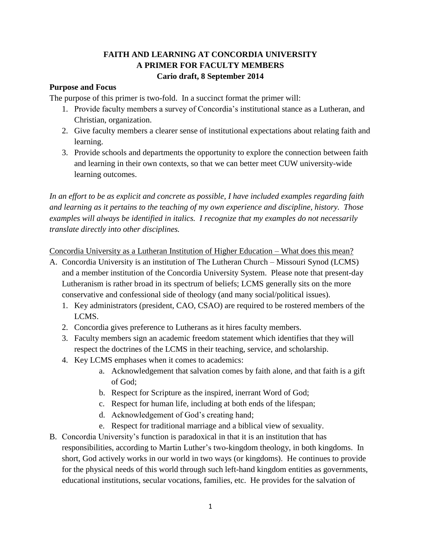## **FAITH AND LEARNING AT CONCORDIA UNIVERSITY A PRIMER FOR FACULTY MEMBERS Cario draft, 8 September 2014**

## **Purpose and Focus**

The purpose of this primer is two-fold. In a succinct format the primer will:

- 1. Provide faculty members a survey of Concordia's institutional stance as a Lutheran, and Christian, organization.
- 2. Give faculty members a clearer sense of institutional expectations about relating faith and learning.
- 3. Provide schools and departments the opportunity to explore the connection between faith and learning in their own contexts, so that we can better meet CUW university-wide learning outcomes.

*In an effort to be as explicit and concrete as possible, I have included examples regarding faith and learning as it pertains to the teaching of my own experience and discipline, history. Those examples will always be identified in italics. I recognize that my examples do not necessarily translate directly into other disciplines.*

Concordia University as a Lutheran Institution of Higher Education – What does this mean?

- A. Concordia University is an institution of The Lutheran Church Missouri Synod (LCMS) and a member institution of the Concordia University System. Please note that present-day Lutheranism is rather broad in its spectrum of beliefs; LCMS generally sits on the more conservative and confessional side of theology (and many social/political issues).
	- 1. Key administrators (president, CAO, CSAO) are required to be rostered members of the LCMS.
	- 2. Concordia gives preference to Lutherans as it hires faculty members.
	- 3. Faculty members sign an academic freedom statement which identifies that they will respect the doctrines of the LCMS in their teaching, service, and scholarship.
	- 4. Key LCMS emphases when it comes to academics:
		- a. Acknowledgement that salvation comes by faith alone, and that faith is a gift of God;
		- b. Respect for Scripture as the inspired, inerrant Word of God;
		- c. Respect for human life, including at both ends of the lifespan;
		- d. Acknowledgement of God's creating hand;
		- e. Respect for traditional marriage and a biblical view of sexuality.
- B. Concordia University's function is paradoxical in that it is an institution that has responsibilities, according to Martin Luther's two-kingdom theology, in both kingdoms. In short, God actively works in our world in two ways (or kingdoms). He continues to provide for the physical needs of this world through such left-hand kingdom entities as governments, educational institutions, secular vocations, families, etc. He provides for the salvation of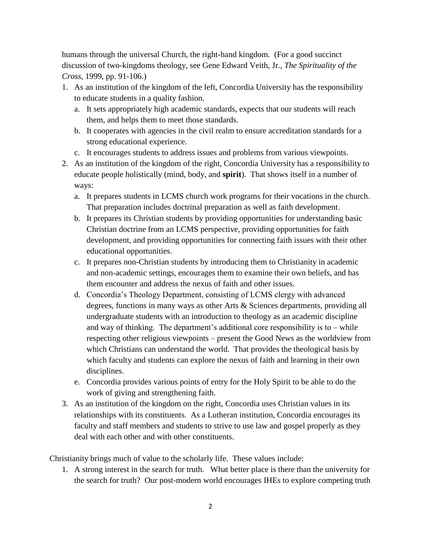humans through the universal Church, the right-hand kingdom. (For a good succinct discussion of two-kingdoms theology, see Gene Edward Veith, Jr., *The Spirituality of the Cross*, 1999, pp. 91-106.)

- 1. As an institution of the kingdom of the left, Concordia University has the responsibility to educate students in a quality fashion.
	- a. It sets appropriately high academic standards, expects that our students will reach them, and helps them to meet those standards.
	- b. It cooperates with agencies in the civil realm to ensure accreditation standards for a strong educational experience.
	- c. It encourages students to address issues and problems from various viewpoints.
- 2. As an institution of the kingdom of the right, Concordia University has a responsibility to educate people holistically (mind, body, and **spirit**). That shows itself in a number of ways:
	- a. It prepares students in LCMS church work programs for their vocations in the church. That preparation includes doctrinal preparation as well as faith development.
	- b. It prepares its Christian students by providing opportunities for understanding basic Christian doctrine from an LCMS perspective, providing opportunities for faith development, and providing opportunities for connecting faith issues with their other educational opportunities.
	- c. It prepares non-Christian students by introducing them to Christianity in academic and non-academic settings, encourages them to examine their own beliefs, and has them encounter and address the nexus of faith and other issues.
	- d. Concordia's Theology Department, consisting of LCMS clergy with advanced degrees, functions in many ways as other Arts & Sciences departments, providing all undergraduate students with an introduction to theology as an academic discipline and way of thinking. The department's additional core responsibility is to  $-\text{while}$ respecting other religious viewpoints – present the Good News as the worldview from which Christians can understand the world. That provides the theological basis by which faculty and students can explore the nexus of faith and learning in their own disciplines.
	- e. Concordia provides various points of entry for the Holy Spirit to be able to do the work of giving and strengthening faith.
- 3. As an institution of the kingdom on the right, Concordia uses Christian values in its relationships with its constituents. As a Lutheran institution, Concordia encourages its faculty and staff members and students to strive to use law and gospel properly as they deal with each other and with other constituents.

Christianity brings much of value to the scholarly life. These values include:

1. A strong interest in the search for truth. What better place is there than the university for the search for truth? Our post-modern world encourages IHEs to explore competing truth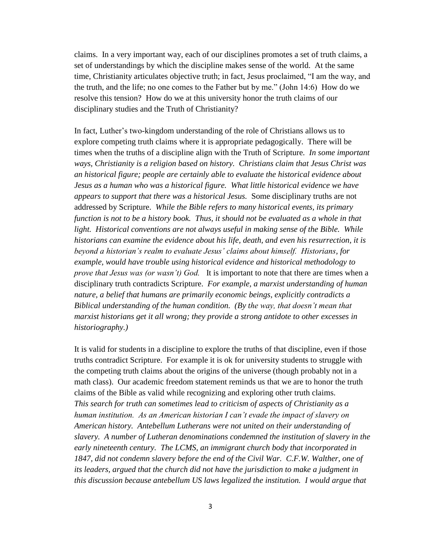claims. In a very important way, each of our disciplines promotes a set of truth claims, a set of understandings by which the discipline makes sense of the world. At the same time, Christianity articulates objective truth; in fact, Jesus proclaimed, "I am the way, and the truth, and the life; no one comes to the Father but by me." (John 14:6) How do we resolve this tension? How do we at this university honor the truth claims of our disciplinary studies and the Truth of Christianity?

In fact, Luther's two-kingdom understanding of the role of Christians allows us to explore competing truth claims where it is appropriate pedagogically. There will be times when the truths of a discipline align with the Truth of Scripture. *In some important ways, Christianity is a religion based on history. Christians claim that Jesus Christ was an historical figure; people are certainly able to evaluate the historical evidence about Jesus as a human who was a historical figure. What little historical evidence we have appears to support that there was a historical Jesus.* Some disciplinary truths are not addressed by Scripture. *While the Bible refers to many historical events, its primary function is not to be a history book. Thus, it should not be evaluated as a whole in that*  light. Historical conventions are not always useful in making sense of the Bible. While *historians can examine the evidence about his life, death, and even his resurrection, it is beyond a historian's realm to evaluate Jesus' claims about himself. Historians, for example, would have trouble using historical evidence and historical methodology to prove that Jesus was (or wasn't) God.* It is important to note that there are times when a disciplinary truth contradicts Scripture. *For example, a marxist understanding of human nature, a belief that humans are primarily economic beings, explicitly contradicts a Biblical understanding of the human condition. (By the way, that doesn't mean that marxist historians get it all wrong; they provide a strong antidote to other excesses in historiography.)*

It is valid for students in a discipline to explore the truths of that discipline, even if those truths contradict Scripture. For example it is ok for university students to struggle with the competing truth claims about the origins of the universe (though probably not in a math class). Our academic freedom statement reminds us that we are to honor the truth claims of the Bible as valid while recognizing and exploring other truth claims. *This search for truth can sometimes lead to criticism of aspects of Christianity as a human institution. As an American historian I can't evade the impact of slavery on American history. Antebellum Lutherans were not united on their understanding of slavery. A number of Lutheran denominations condemned the institution of slavery in the early nineteenth century. The LCMS, an immigrant church body that incorporated in*  1847, did not condemn slavery before the end of the Civil War. C.F.W. Walther, one of *its leaders, argued that the church did not have the jurisdiction to make a judgment in this discussion because antebellum US laws legalized the institution. I would argue that*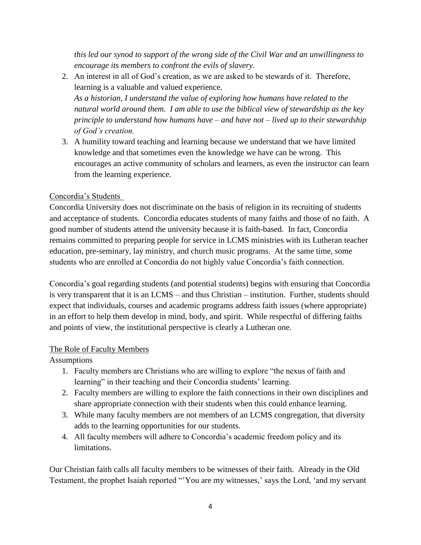*this led our synod to support of the wrong side of the Civil War and an unwillingness to encourage its members to confront the evils of slavery.*

- 2. An interest in all of God's creation, as we are asked to be stewards of it. Therefore, learning is a valuable and valued experience. *As a historian, I understand the value of exploring how humans have related to the natural world around them. I am able to use the biblical view of stewardship as the key principle to understand how humans have – and have not – lived up to their stewardship of God's creation.*
- 3. A humility toward teaching and learning because we understand that we have limited knowledge and that sometimes even the knowledge we have can be wrong. This encourages an active community of scholars and learners, as even the instructor can learn from the learning experience.

## Concordia's Students

Concordia University does not discriminate on the basis of religion in its recruiting of students and acceptance of students. Concordia educates students of many faiths and those of no faith. A good number of students attend the university because it is faith-based. In fact, Concordia remains committed to preparing people for service in LCMS ministries with its Lutheran teacher education, pre-seminary, lay ministry, and church music programs. At the same time, some students who are enrolled at Concordia do not highly value Concordia's faith connection.

Concordia's goal regarding students (and potential students) begins with ensuring that Concordia is very transparent that it is an LCMS – and thus Christian – institution. Further, students should expect that individuals, courses and academic programs address faith issues (where appropriate) in an effort to help them develop in mind, body, and spirit. While respectful of differing faiths and points of view, the institutional perspective is clearly a Lutheran one.

## The Role of Faculty Members

Assumptions

- 1. Faculty members are Christians who are willing to explore "the nexus of faith and learning" in their teaching and their Concordia students' learning.
- 2. Faculty members are willing to explore the faith connections in their own disciplines and share appropriate connection with their students when this could enhance learning.
- 3. While many faculty members are not members of an LCMS congregation, that diversity adds to the learning opportunities for our students.
- 4. All faculty members will adhere to Concordia's academic freedom policy and its limitations.

Our Christian faith calls all faculty members to be witnesses of their faith. Already in the Old Testament, the prophet Isaiah reported "'You are my witnesses,' says the Lord, 'and my servant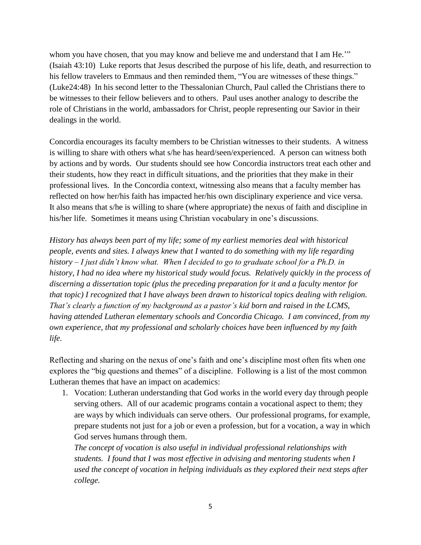whom you have chosen, that you may know and believe me and understand that I am He."" (Isaiah 43:10) Luke reports that Jesus described the purpose of his life, death, and resurrection to his fellow travelers to Emmaus and then reminded them, "You are witnesses of these things." (Luke24:48) In his second letter to the Thessalonian Church, Paul called the Christians there to be witnesses to their fellow believers and to others. Paul uses another analogy to describe the role of Christians in the world, ambassadors for Christ, people representing our Savior in their dealings in the world.

Concordia encourages its faculty members to be Christian witnesses to their students. A witness is willing to share with others what s/he has heard/seen/experienced. A person can witness both by actions and by words. Our students should see how Concordia instructors treat each other and their students, how they react in difficult situations, and the priorities that they make in their professional lives. In the Concordia context, witnessing also means that a faculty member has reflected on how her/his faith has impacted her/his own disciplinary experience and vice versa. It also means that s/he is willing to share (where appropriate) the nexus of faith and discipline in his/her life. Sometimes it means using Christian vocabulary in one's discussions.

*History has always been part of my life; some of my earliest memories deal with historical people, events and sites. I always knew that I wanted to do something with my life regarding history – I just didn't know what. When I decided to go to graduate school for a Ph.D. in history, I had no idea where my historical study would focus. Relatively quickly in the process of discerning a dissertation topic (plus the preceding preparation for it and a faculty mentor for that topic) I recognized that I have always been drawn to historical topics dealing with religion. That's clearly a function of my background as a pastor's kid born and raised in the LCMS, having attended Lutheran elementary schools and Concordia Chicago. I am convinced, from my own experience, that my professional and scholarly choices have been influenced by my faith life.*

Reflecting and sharing on the nexus of one's faith and one's discipline most often fits when one explores the "big questions and themes" of a discipline. Following is a list of the most common Lutheran themes that have an impact on academics:

1. Vocation: Lutheran understanding that God works in the world every day through people serving others. All of our academic programs contain a vocational aspect to them; they are ways by which individuals can serve others. Our professional programs, for example, prepare students not just for a job or even a profession, but for a vocation, a way in which God serves humans through them.

*The concept of vocation is also useful in individual professional relationships with students. I found that I was most effective in advising and mentoring students when I used the concept of vocation in helping individuals as they explored their next steps after college.*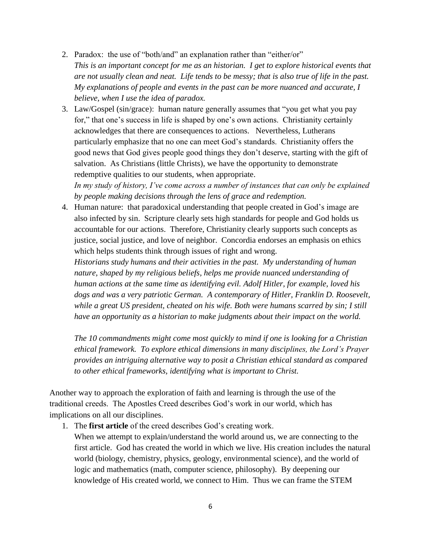- 2. Paradox: the use of "both/and" an explanation rather than "either/or" *This is an important concept for me as an historian. I get to explore historical events that are not usually clean and neat. Life tends to be messy; that is also true of life in the past. My explanations of people and events in the past can be more nuanced and accurate, I believe, when I use the idea of paradox.*
- 3. Law/Gospel (sin/grace): human nature generally assumes that "you get what you pay for," that one's success in life is shaped by one's own actions. Christianity certainly acknowledges that there are consequences to actions. Nevertheless, Lutherans particularly emphasize that no one can meet God's standards. Christianity offers the good news that God gives people good things they don't deserve, starting with the gift of salvation. As Christians (little Christs), we have the opportunity to demonstrate redemptive qualities to our students, when appropriate.

*In my study of history, I've come across a number of instances that can only be explained by people making decisions through the lens of grace and redemption.*

4. Human nature: that paradoxical understanding that people created in God's image are also infected by sin. Scripture clearly sets high standards for people and God holds us accountable for our actions. Therefore, Christianity clearly supports such concepts as justice, social justice, and love of neighbor. Concordia endorses an emphasis on ethics which helps students think through issues of right and wrong.

*Historians study humans and their activities in the past. My understanding of human nature, shaped by my religious beliefs, helps me provide nuanced understanding of human actions at the same time as identifying evil. Adolf Hitler, for example, loved his dogs and was a very patriotic German. A contemporary of Hitler, Franklin D. Roosevelt, while a great US president, cheated on his wife. Both were humans scarred by sin; I still have an opportunity as a historian to make judgments about their impact on the world.*

*The 10 commandments might come most quickly to mind if one is looking for a Christian ethical framework. To explore ethical dimensions in many disciplines, the Lord's Prayer provides an intriguing alternative way to posit a Christian ethical standard as compared to other ethical frameworks, identifying what is important to Christ.* 

Another way to approach the exploration of faith and learning is through the use of the traditional creeds. The Apostles Creed describes God's work in our world, which has implications on all our disciplines.

1. The **first article** of the creed describes God's creating work.

When we attempt to explain/understand the world around us, we are connecting to the first article. God has created the world in which we live. His creation includes the natural world (biology, chemistry, physics, geology, environmental science), and the world of logic and mathematics (math, computer science, philosophy). By deepening our knowledge of His created world, we connect to Him. Thus we can frame the STEM